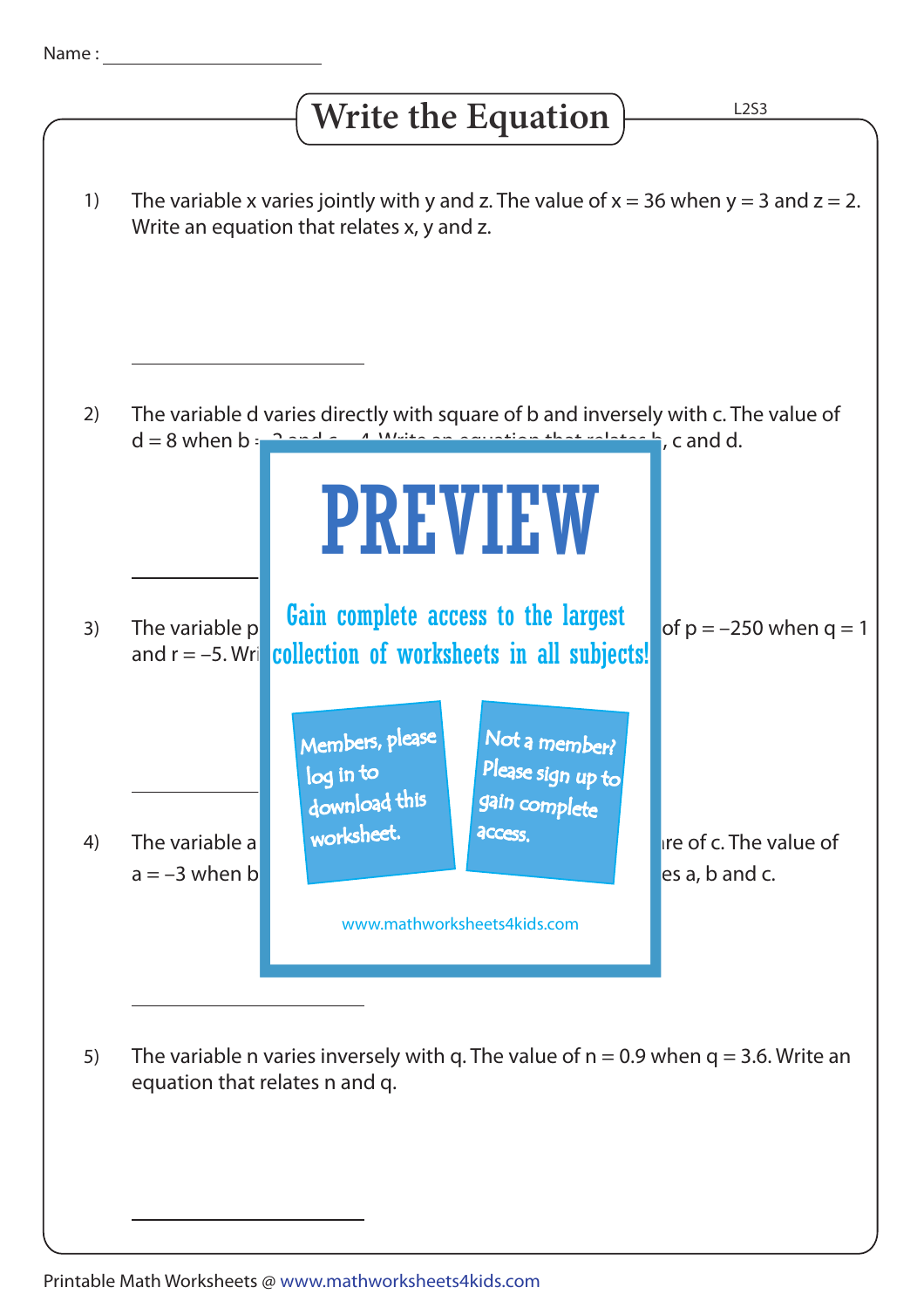## The variable x varies jointly with y and z. The value of  $x = 36$  when  $y = 3$  and  $z = 2$ . Write an equation that relates x, y and z. The variable d varies directly with square of b and inversely with c. The value of  $d = 8$  when b  $\frac{2}{3}$  and c  $\frac{4}{3}$ . White an equation that relates b, c and d. The variable p value cumplete access to the largest of  $p = -250$  when  $q = 1$ and r = –5. Wri**that Collection of worksheets in all subjects!** The variable n varies inversely with q. The value of  $n = 0.9$  when  $q = 3.6$ . Write an equation that relates n and q. 1) 2) 3) 4) 5) L2S3 **Write the Equation** 3 1 The variable a variable variable a variable  $\alpha$  variable of with space value of c. The value of  $a = -3$  when b  $\Box$ PREVIEW www.mathworksheets4kids.com Members, please download this worksheet. log in to Not a member? gain complete Please sign up to **access** Gain complete access to the largest